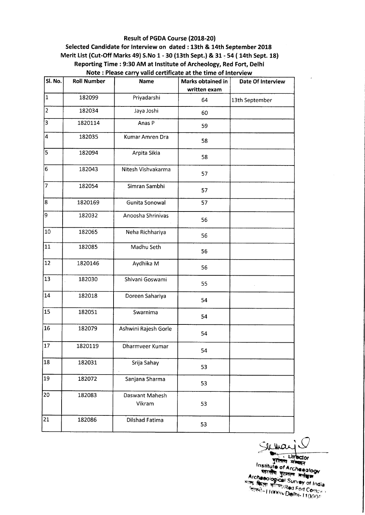## Result of PGDA Course (2018-20)

## Selected Candidate for Interview on dated : 13th & 14th September 2018 Merit List (Cut-Off Marks 49) S.No 1 - 30 (13th Sept.) & 31 - 54 ( 14th Sept. 18) Reporting Time : 9:30 AM at Institute of Archeology, Red Fort, Delhi Note: Please carry valid certificate at the time of Interview

| Sl. No.         | <b>Roll Number</b> | <b>Name</b>              | Marks obtained in<br>written exam | Date Of Interview |
|-----------------|--------------------|--------------------------|-----------------------------------|-------------------|
| 1               | 182099             | Priyadarshi              | 64                                | 13th September    |
| $\overline{2}$  | 182034             | Jaya Joshi               | 60                                |                   |
| $\overline{3}$  | 1820114            | Anas P                   | 59                                |                   |
| 4               | 182035             | Kumar Amren Dra          | 58                                |                   |
| 5               | 182094             | Arpita Sikia             | 58                                |                   |
| 6               | 182043             | Nitesh Vishvakarma       | 57                                |                   |
| 7               | 182054             | Simran Sambhi            | 57                                |                   |
| 8               | 1820169            | Gunita Sonowal           | 57                                |                   |
| 9               | 182032             | Anoosha Shrinivas        | 56                                |                   |
| $ 10\rangle$    | 182065             | Neha Richhariya          | 56                                |                   |
| 11              | 182085             | Madhu Seth               | 56                                |                   |
| 12              | 1820146            | Aydhika M                | 56                                |                   |
| 13              | 182030             | Shivani Goswami          | 55                                |                   |
| 14              | 182018             | Doreen Sahariya          | 54                                |                   |
| $\sqrt{15}$     | 182051             | Swarnima                 | 54                                |                   |
| $\overline{16}$ | 182079             | Ashwini Rajesh Gorle     | 54                                |                   |
| $ 17\rangle$    | 1820119            | Dharmveer Kumar          | 54                                |                   |
| 18              | 182031             | Srija Sahay              | 53                                |                   |
| 19              | 182072             | Sanjana Sharma           | 53                                |                   |
| 20              | 182083             | Daswant Mahesh<br>Vikram | 53                                |                   |
| 21              | 182086             | Dilshad Fatima           | 53                                |                   |

Sichan

Text Ultector<br>
Institute of Archaeology<br>
Institute of Archaeology<br>
Hitting States adapt<br>
Archaeological Survey of India<br>
First Right Horney Delhi-110006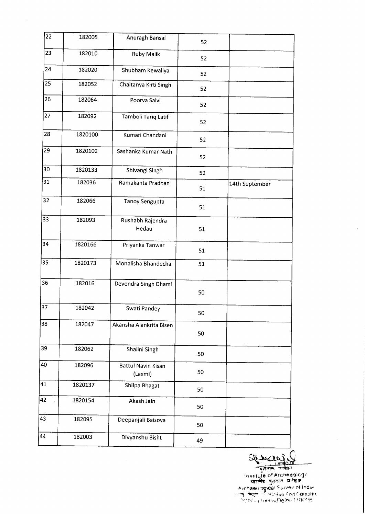| 22 | 182005  | Anuragh Bansal                       | 52 |                |
|----|---------|--------------------------------------|----|----------------|
| 23 | 182010  | <b>Ruby Malik</b>                    | 52 |                |
| 24 | 182020  | Shubham Kewaliya                     | 52 |                |
| 25 | 182052  | Chaitanya Kirti Singh                | 52 |                |
| 26 | 182064  | Poorva Salvi                         | 52 |                |
| 27 | 182092  | Tamboli Tariq Latif                  | 52 |                |
| 28 | 1820100 | Kumari Chandani                      | 52 |                |
| 29 | 1820102 | Sashanka Kumar Nath                  | 52 |                |
| 30 | 1820133 | Shivangi Singh                       | 52 |                |
| 31 | 182036  | Ramakanta Pradhan                    | 51 | 14th September |
| 32 | 182066  | <b>Tanoy Sengupta</b>                | 51 |                |
| 33 | 182093  | Rushabh Rajendra<br>Hedau            | 51 |                |
| 34 | 1820166 | Priyanka Tanwar                      | 51 |                |
| 35 | 1820173 | Monalisha Bhandecha                  | 51 |                |
| 36 | 182016  | Devendra Singh Dhami                 | 50 |                |
| 37 | 182042  | Swati Pandey                         | 50 |                |
| 38 | 182047  | Akansha Alankrita Bisen              | 50 |                |
| 39 | 182062  | Shalini Singh                        | 50 |                |
| 40 | 182096  | <b>Battul Navin Kisan</b><br>(Laxmi) | 50 |                |
| 41 | 1820137 | Shilpa Bhagat                        | 50 |                |
| 42 | 1820154 | Akash Jain                           | 50 |                |
| 43 | 182095  | Deepanjali Baisoya                   | 50 |                |
| 44 | 182003  | Divyanshu Bisht                      | 49 |                |
|    |         |                                      |    |                |

SIL Wales

Institute of Archeeglogy भारतीय पुरातल मर्तकाल Archaeological Survey of India ्यः किरणः गरीपप्र(so Foit Comple)<br>नियम्बर्गः । (अप्रस्कारिका) 1 1000S